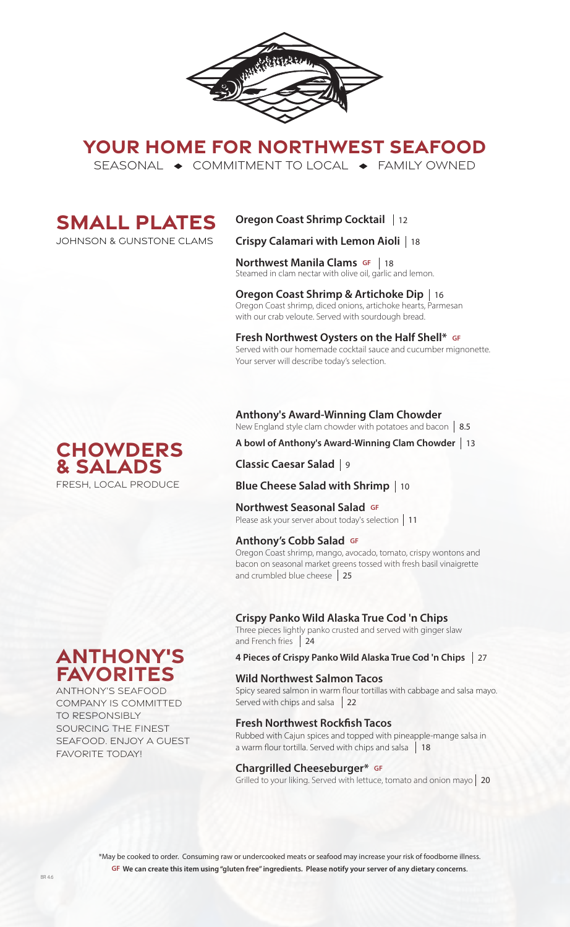

# **YOUR HOME FOR NORTHWEST SEAFOOD**

SEASONAL  $\rightarrow$  COMMITMENT TO LOCAL  $\rightarrow$  FAMILY OWNED



johnson & gunstone clams

# **Oregon Coast Shrimp Cocktail**  12

**Crispy Calamari with Lemon Aioli**  18

**Northwest Manila Clams GF** | 18 **NOT LITIVEST MATTING CIATTIS OF THIS 1989**<br>Steamed in clam nectar with olive oil, garlic and lemon.

**Oregon Coast Shrimp & Artichoke Dip**  16 Oregon Coast shrimp, diced onions, artichoke hearts, Parmesan with our crab veloute. Served with sourdough bread.

### **Fresh Northwest Oysters on the Half Shell\* GF**

Served with our homemade cocktail sauce and cucumber mignonette. Your server will describe today's selection.

### **Anthony's Award-Winning Clam Chowder**

New England style clam chowder with potatoes and bacon 8.5

## **A bowl of Anthony's Award-Winning Clam Chowder**  13

**Classic Caesar Salad**  9

# **Blue Cheese Salad with Shrimp**  10

### **Northwest Seasonal Salad GF**

**NOT LITVEST SEASOTIAL SATAGE OF**<br>Please ask your server about today's selection | 11

### **Anthony's Cobb Salad GF**

Oregon Coast shrimp, mango, avocado, tomato, crispy wontons and bacon on seasonal market greens tossed with fresh basil vinaigrette and crumbled blue cheese 25

### **Crispy Panko Wild Alaska True Cod 'n Chips**

Three pieces lightly panko crusted and served with ginger slaw and French fries 24

**4 Pieces of Crispy Panko Wild Alaska True Cod 'n Chips**  27

**Wild Northwest Salmon Tacos Salmon Tacos** Spicy seared salmon in warm flour tortillas with cabbage and salsa mayo. Served with chips and salsa 22

**Fresh Northwest Rockfish Tacos**<br>**Rubbed with Cajun spices and topped with pineapple-mange salsa in** a warm flour tortilla. Served with chips and salsa 18

### **Chargrilled Cheeseburger\* GF**

Grilled to your liking. Served with lettuce, tomato and onion mayo 20

\*May be cooked to order. Consuming raw or undercooked meats or seafood may increase your risk of foodborne illness. **GF We can create this item using "gluten free" ingredients. Please notify your server of any dietary concerns**.



**Anthony's** 

**favorites** ANTHONY'S SEAFOOD COMPANY IS COMMITTED

SOURCING THE FINEST SEAFOOD. ENJOY A GUEST

TO RESPONSIBLY

FAVORITE TODAY!